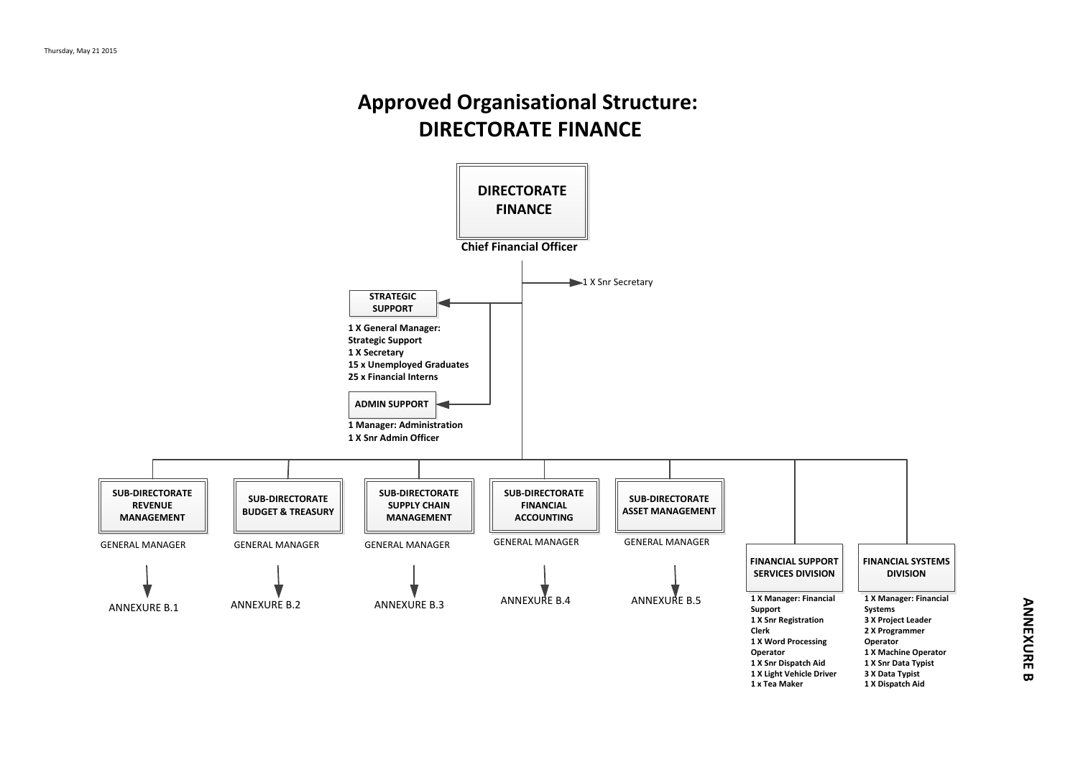## **Approved Organisational Structure: DIRECTORATE FINANCE**

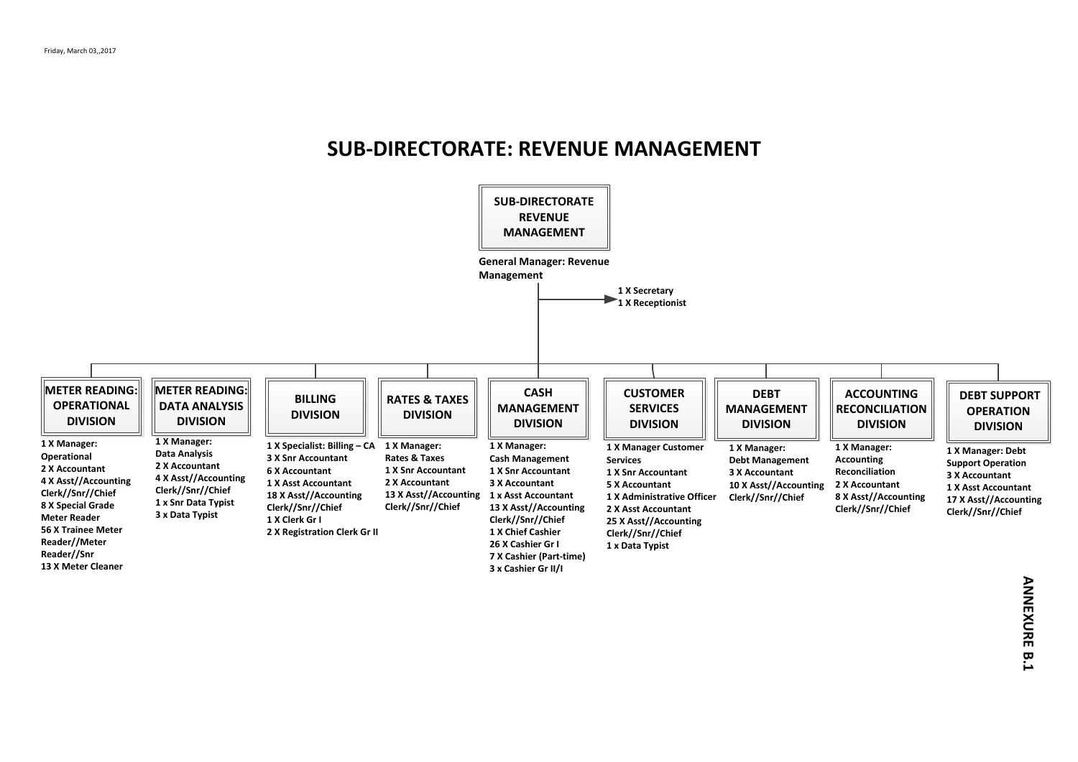#### **SUB-DIRECTORATE: REVENUE MANAGEMENT**

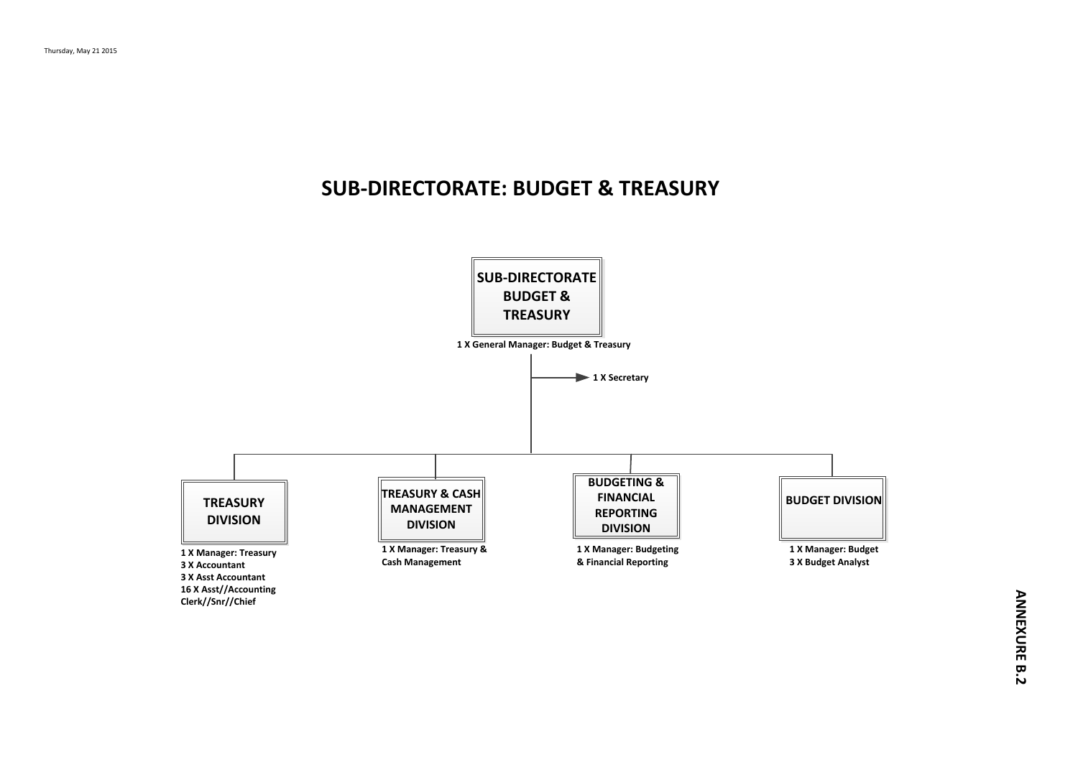### **SUB-DIRECTORATE: BUDGET & TREASURY**

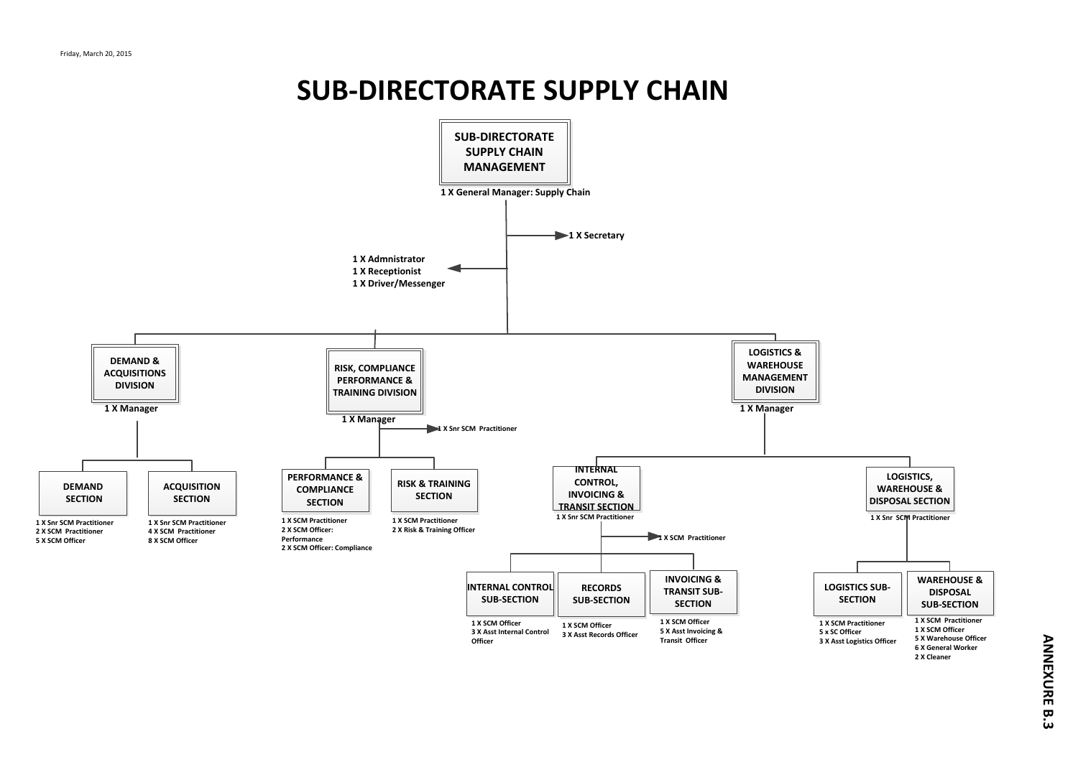# **SUB-DIRECTORATE SUPPLY CHAIN**

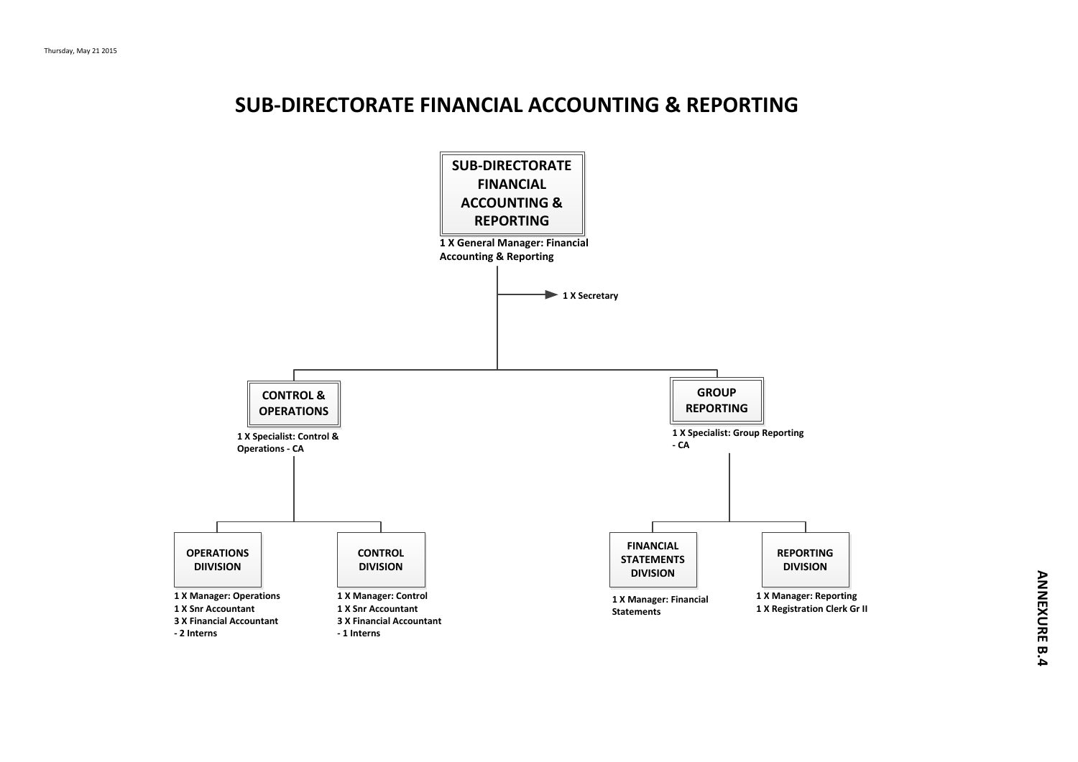### **SUB-DIRECTORATE FINANCIAL ACCOUNTING & REPORTING**